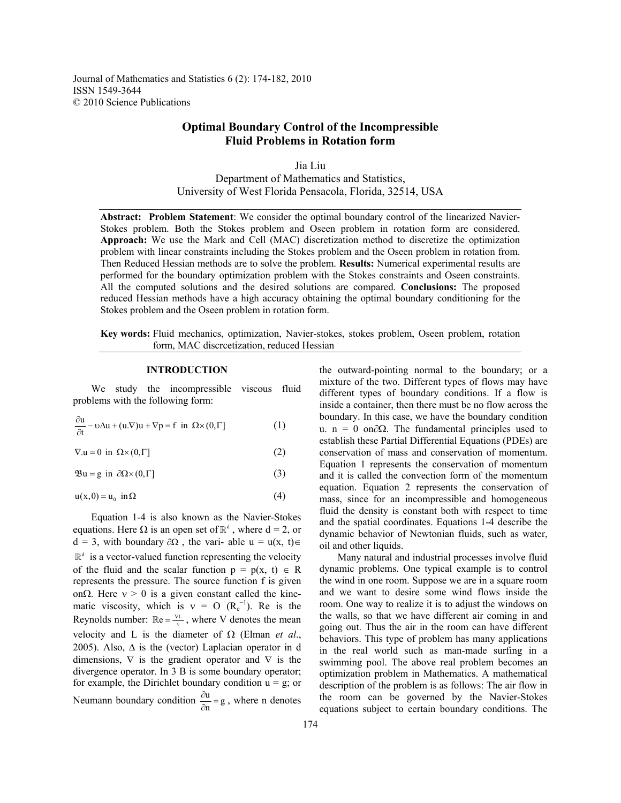Journal of Mathematics and Statistics 6 (2): 174-182, 2010 ISSN 1549-3644 © 2010 Science Publications

# **Optimal Boundary Control of the Incompressible Fluid Problems in Rotation form**

Jia Liu Department of Mathematics and Statistics, University of West Florida Pensacola, Florida, 32514, USA

**Abstract: Problem Statement**: We consider the optimal boundary control of the linearized Navier-Stokes problem. Both the Stokes problem and Oseen problem in rotation form are considered. **Approach:** We use the Mark and Cell (MAC) discretization method to discretize the optimization problem with linear constraints including the Stokes problem and the Oseen problem in rotation from. Then Reduced Hessian methods are to solve the problem. **Results:** Numerical experimental results are performed for the boundary optimization problem with the Stokes constraints and Oseen constraints. All the computed solutions and the desired solutions are compared. **Conclusions:** The proposed reduced Hessian methods have a high accuracy obtaining the optimal boundary conditioning for the Stokes problem and the Oseen problem in rotation form.

**Key words:** Fluid mechanics, optimization, Navier-stokes, stokes problem, Oseen problem, rotation form, MAC discrcetization, reduced Hessian

#### **INTRODUCTION**

 We study the incompressible viscous fluid problems with the following form:

$$
\frac{\partial u}{\partial t} - v\Delta u + (u.\nabla)u + \nabla p = f \text{ in } \Omega \times (0,\Gamma] \tag{1}
$$

 $\nabla \mathbf{u} = 0$  in  $\Omega \times (0, \Gamma)$  (2)

 $\mathfrak{B} \mathfrak{u} = \mathfrak{g}$  in  $\partial \Omega \times (0, \Gamma)$  (3)

$$
u(x,0) = u_0 \text{ in } \Omega \tag{4}
$$

 Equation 1-4 is also known as the Navier-Stokes equations. Here  $\Omega$  is an open set of  $\mathbb{R}^d$ , where d = 2, or  $d = 3$ , with boundary  $\partial \Omega$ , the vari- able u = u(x, t)∈  $\mathbb{R}^d$  is a vector-valued function representing the velocity of the fluid and the scalar function  $p = p(x, t) \in R$ represents the pressure. The source function f is given on $\Omega$ . Here  $v > 0$  is a given constant called the kinematic viscosity, which is  $v = O (R_e^{-1})$ . Re is the Reynolds number:  $\mathbb{R}e = \frac{VL}{V}$ , where V denotes the mean velocity and L is the diameter of  $\Omega$  (Elman *et al.*, 2005). Also,  $\Delta$  is the (vector) Laplacian operator in d dimensions,  $\nabla$  is the gradient operator and  $\nabla$  is the divergence operator. In 3 B is some boundary operator; for example, the Dirichlet boundary condition  $u = g$ ; or Neumann boundary condition  $\frac{\partial u}{\partial n} = g$ , where n denotes the outward-pointing normal to the boundary; or a mixture of the two. Different types of flows may have different types of boundary conditions. If a flow is inside a container, then there must be no flow across the boundary. In this case, we have the boundary condition u. n = 0 on $\partial\Omega$ . The fundamental principles used to establish these Partial Differential Equations (PDEs) are conservation of mass and conservation of momentum. Equation 1 represents the conservation of momentum and it is called the convection form of the momentum equation. Equation 2 represents the conservation of mass, since for an incompressible and homogeneous fluid the density is constant both with respect to time and the spatial coordinates. Equations 1-4 describe the dynamic behavior of Newtonian fluids, such as water, oil and other liquids.

 Many natural and industrial processes involve fluid dynamic problems. One typical example is to control the wind in one room. Suppose we are in a square room and we want to desire some wind flows inside the room. One way to realize it is to adjust the windows on the walls, so that we have different air coming in and going out. Thus the air in the room can have different behaviors. This type of problem has many applications in the real world such as man-made surfing in a swimming pool. The above real problem becomes an optimization problem in Mathematics. A mathematical description of the problem is as follows: The air flow in the room can be governed by the Navier-Stokes equations subject to certain boundary conditions. The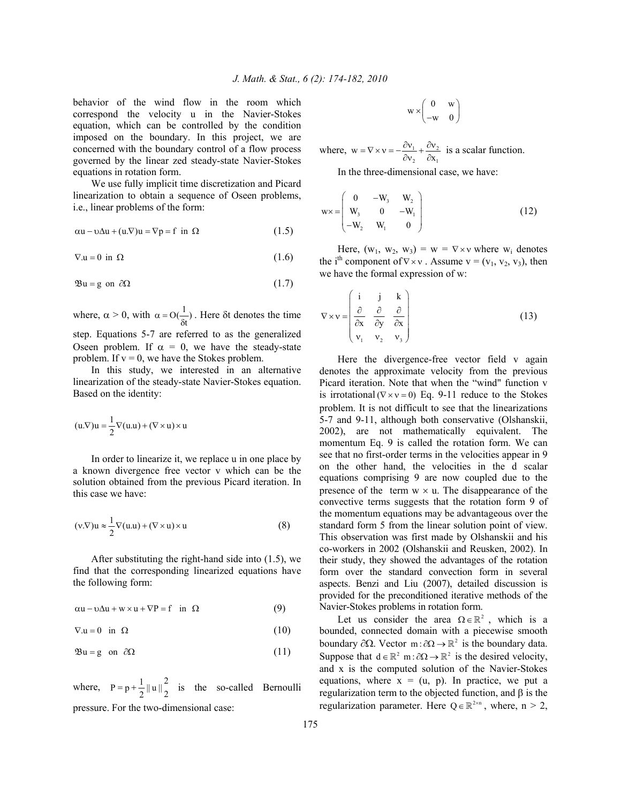behavior of the wind flow in the room which correspond the velocity u in the Navier-Stokes equation, which can be controlled by the condition imposed on the boundary. In this project, we are concerned with the boundary control of a flow process governed by the linear zed steady-state Navier-Stokes equations in rotation form.

 We use fully implicit time discretization and Picard linearization to obtain a sequence of Oseen problems, i.e., linear problems of the form:

$$
\alpha u - v\Delta u + (u.\nabla)u = \nabla p = f \text{ in } \Omega \tag{1.5}
$$

$$
\nabla.\mathbf{u} = 0 \text{ in } \Omega \tag{1.6}
$$

$$
\mathfrak{B}u = g \text{ on } \partial\Omega \tag{1.7}
$$

where,  $\alpha > 0$ , with  $\alpha = O(\frac{1}{\delta t})$ . Here  $\delta t$  denotes the time step. Equations 5-7 are referred to as the generalized Oseen problem. If  $\alpha = 0$ , we have the steady-state problem. If  $v = 0$ , we have the Stokes problem.

 In this study, we interested in an alternative linearization of the steady-state Navier-Stokes equation. Based on the identity:

$$
(u.\nabla)u = \frac{1}{2}\nabla(u.u) + (\nabla \times u) \times u
$$

In order to linearize it, we replace u in one place by a known divergence free vector v which can be the solution obtained from the previous Picard iteration. In this case we have:

$$
(v.\nabla)u \approx \frac{1}{2}\nabla(u.u) + (\nabla \times u) \times u \tag{8}
$$

 After substituting the right-hand side into (1.5), we find that the corresponding linearized equations have the following form:

$$
\alpha u - v\Delta u + w \times u + \nabla P = f \text{ in } \Omega \tag{9}
$$

$$
\nabla.\mathbf{u} = 0 \quad \text{in} \quad \Omega \tag{10}
$$

$$
\mathfrak{B}u = g \quad \text{on} \quad \partial\Omega \tag{11}
$$

where,  $P = p + \frac{1}{2} ||u||_2^2$  is the so-called Bernoulli pressure. For the two-dimensional case:

$$
w \times \begin{pmatrix} 0 & w \\ -w & 0 \end{pmatrix}
$$

where,  $w = \nabla \times v = -\frac{\partial v_1}{\partial x_1} + \frac{\partial v_2}{\partial y_2}$  $w = \nabla \times v = -\frac{\partial v_1}{\partial v_2} + \frac{\partial v_2}{\partial x_1}$  is a scalar function.

In the three-dimensional case, we have:

$$
w \times = \begin{pmatrix} 0 & -W_3 & W_2 \\ W_3 & 0 & -W_1 \\ -W_2 & W_1 & 0 \end{pmatrix}
$$
 (12)

Here,  $(w_1, w_2, w_3) = w = \nabla \times v$  where  $w_i$  denotes the i<sup>th</sup> component of  $\nabla \times v$ . Assume  $v = (v_1, v_2, v_3)$ , then we have the formal expression of w:

$$
\nabla \times \mathbf{v} = \begin{pmatrix} \mathbf{i} & \mathbf{j} & \mathbf{k} \\ \frac{\partial}{\partial x} & \frac{\partial}{\partial y} & \frac{\partial}{\partial x} \\ v_1 & v_2 & v_3 \end{pmatrix}
$$
(13)

Here the divergence-free vector field v again denotes the approximate velocity from the previous Picard iteration. Note that when the "wind" function v is irrotational ( $\nabla \times v = 0$ ) Eq. 9-11 reduce to the Stokes problem. It is not difficult to see that the linearizations 5-7 and 9-11, although both conservative (Olshanskii, 2002), are not mathematically equivalent. The momentum Eq. 9 is called the rotation form. We can see that no first-order terms in the velocities appear in 9 on the other hand, the velocities in the d scalar equations comprising 9 are now coupled due to the presence of the term  $w \times u$ . The disappearance of the convective terms suggests that the rotation form 9 of the momentum equations may be advantageous over the standard form 5 from the linear solution point of view. This observation was first made by Olshanskii and his co-workers in 2002 (Olshanskii and Reusken, 2002). In their study, they showed the advantages of the rotation form over the standard convection form in several aspects. Benzi and Liu (2007), detailed discussion is provided for the preconditioned iterative methods of the Navier-Stokes problems in rotation form.

Let us consider the area  $\Omega \in \mathbb{R}^2$ , which is a bounded, connected domain with a piecewise smooth boundary ∂Ω. Vector m :  $\partial\Omega \to \mathbb{R}^2$  is the boundary data. Suppose that  $d \in \mathbb{R}^2$  m :  $\partial \Omega \to \mathbb{R}^2$  is the desired velocity, and x is the computed solution of the Navier-Stokes equations, where  $x = (u, p)$ . In practice, we put a regularization term to the objected function, and β is the regularization parameter. Here  $Q \in \mathbb{R}^{2 \times n}$ , where,  $n > 2$ ,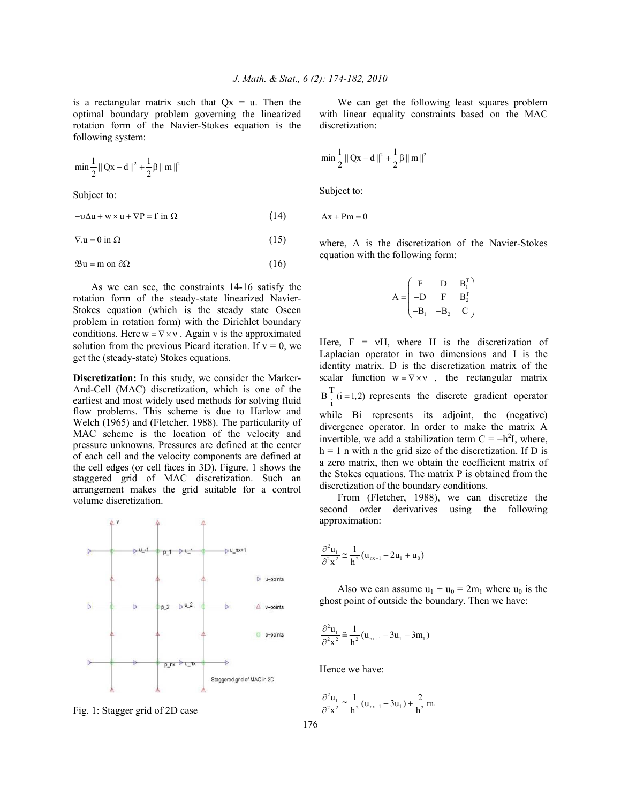is a rectangular matrix such that  $Qx = u$ . Then the optimal boundary problem governing the linearized rotation form of the Navier-Stokes equation is the following system:

$$
min \frac{1}{2} || Qx - d ||^2 + \frac{1}{2} \beta || m ||^2
$$

Subject to:

$$
-\upsilon \Delta u + w \times u + \nabla P = f \text{ in } \Omega \tag{14}
$$

$$
\nabla.\mathbf{u} = 0 \text{ in } \Omega \tag{15}
$$

$$
\mathfrak{B}\mathfrak{u} = \mathfrak{m} \text{ on } \partial\Omega \tag{16}
$$

 As we can see, the constraints 14-16 satisfy the rotation form of the steady-state linearized Navier-Stokes equation (which is the steady state Oseen problem in rotation form) with the Dirichlet boundary conditions. Here  $w = \nabla \times v$ . Again v is the approximated solution from the previous Picard iteration. If  $v = 0$ , we get the (steady-state) Stokes equations.

**Discretization:** In this study, we consider the Marker-And-Cell (MAC) discretization, which is one of the earliest and most widely used methods for solving fluid flow problems. This scheme is due to Harlow and Welch (1965) and (Fletcher, 1988). The particularity of MAC scheme is the location of the velocity and pressure unknowns. Pressures are defined at the center of each cell and the velocity components are defined at the cell edges (or cell faces in 3D). Figure. 1 shows the staggered grid of MAC discretization. Such an arrangement makes the grid suitable for a control volume discretization.



Fig. 1: Stagger grid of 2D case

 We can get the following least squares problem with linear equality constraints based on the MAC discretization:

$$
\min \frac{1}{2} \| Qx - d \|^{2} + \frac{1}{2} \beta \| m \|^{2}
$$

Subject to:

 $Ax + Pm = 0$ 

where, A is the discretization of the Navier-Stokes equation with the following form:

$$
A = \begin{pmatrix} F & D & B_1^T \\ -D & F & B_2^T \\ -B_1 & -B_2 & C \end{pmatrix}
$$

Here,  $F = vH$ , where H is the discretization of Laplacian operator in two dimensions and I is the identity matrix. D is the discretization matrix of the scalar function  $w = \nabla \times v$ , the rectangular matrix  $B - (i = 1,2)$  represents the discrete gradient operator while Bi represents its adjoint, the (negative) divergence operator. In order to make the matrix A invertible, we add a stabilization term  $C = -h^2 I$ , where,  $h = 1$  n with n the grid size of the discretization. If D is a zero matrix, then we obtain the coefficient matrix of the Stokes equations. The matrix P is obtained from the discretization of the boundary conditions.

 From (Fletcher, 1988), we can discretize the second order derivatives using the following approximation:

$$
\frac{\partial^2 u_1}{\partial^2 x^2} \approx \frac{1}{h^2} (u_{nx+1} - 2u_1 + u_0)
$$

Also we can assume  $u_1 + u_0 = 2m_1$  where  $u_0$  is the ghost point of outside the boundary. Then we have:

$$
\frac{\partial^2 u_1}{\partial^2 x^2} \approx \frac{1}{h^2} (u_{nx+1} - 3u_1 + 3m_1)
$$

Hence we have:

$$
\frac{\partial^2 u_1}{\partial^2 x^2} \cong \frac{1}{h^2} (u_{nx+1} - 3u_1) + \frac{2}{h^2} m_1
$$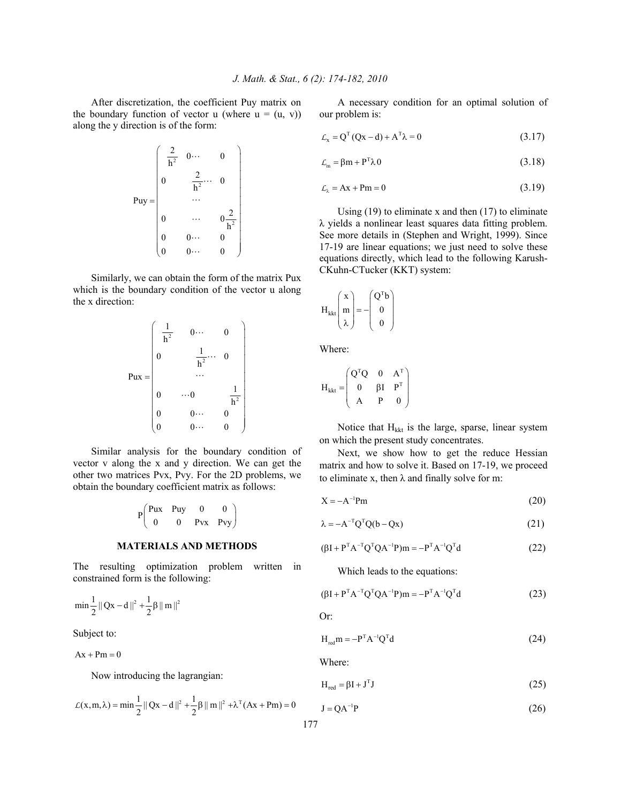After discretization, the coefficient Puy matrix on the boundary function of vector u (where  $u = (u, v)$ ) along the y direction is of the form:

$$
Puy = \begin{pmatrix} \frac{2}{h^2} & 0 \cdots & 0 \\ 0 & \frac{2}{h^2} \cdots & 0 \\ & \cdots & \\ 0 & \cdots & 0 \frac{2}{h^2} \\ 0 & 0 \cdots & 0 \\ 0 & 0 \cdots & 0 \end{pmatrix}
$$

 Similarly, we can obtain the form of the matrix Pux which is the boundary condition of the vector u along the x direction:



 Similar analysis for the boundary condition of vector v along the x and y direction. We can get the other two matrices Pvx, Pvy. For the 2D problems, we obtain the boundary coefficient matrix as follows:

$$
P\begin{pmatrix} Pux & Puy & 0 & 0 \\ 0 & 0 & Pvx & Pvy \end{pmatrix}
$$

### **MATERIALS AND METHODS**

The resulting optimization problem written in constrained form is the following:

$$
min\frac{1}{2}\left\|\left.Qx-d\right\|^2+\frac{1}{2}\beta\left\|\left.m\right\|^2\right.
$$

Subject to:

 $Ax + Pm = 0$ 

Now introducing the lagrangian:

$$
\mathcal{L}(x, m, \lambda) = \min \frac{1}{2} ||Qx - d||^2 + \frac{1}{2}\beta ||m||^2 + \lambda^{T}(Ax + Pm) = 0
$$

 A necessary condition for an optimal solution of our problem is:

$$
\mathcal{L}_x = Q^{T} (Qx - d) + A^{T} \lambda = 0 \qquad (3.17)
$$

$$
\mathcal{L}_{m} = \beta m + P^{T} \lambda 0 \tag{3.18}
$$

$$
\mathcal{L}_{\lambda} = Ax + Pm = 0 \tag{3.19}
$$

Using  $(19)$  to eliminate x and then  $(17)$  to eliminate λ yields a nonlinear least squares data fitting problem. See more details in (Stephen and Wright, 1999). Since 17-19 are linear equations; we just need to solve these equations directly, which lead to the following Karush-CKuhn-CTucker (KKT) system:

$$
H_{kkt}\begin{pmatrix} x \\ m \\ \lambda \end{pmatrix} = -\begin{pmatrix} Q^T b \\ 0 \\ 0 \end{pmatrix}
$$

Where:

$$
H_{kkt} = \begin{pmatrix} Q^TQ & 0 & A^T \\ 0 & \beta I & P^T \\ A & P & 0 \end{pmatrix}
$$

Notice that  $H_{kkt}$  is the large, sparse, linear system on which the present study concentrates.

 Next, we show how to get the reduce Hessian matrix and how to solve it. Based on 17-19, we proceed to eliminate x, then  $\lambda$  and finally solve for m:

$$
X = -A^{-1}Pm
$$
 (20)

$$
\lambda = -A^{-T}Q^{T}Q(b - Qx)
$$
\n(21)

$$
(\beta I + P^{T} A^{-T} Q^{T} Q A^{-1} P) m = -P^{T} A^{-1} Q^{T} d \qquad (22)
$$

Which leads to the equations:

$$
(\beta I + P^{T} A^{-T} Q^{T} Q A^{-1} P) m = -P^{T} A^{-1} Q^{T} d \qquad (23)
$$

Or:

$$
H_{red}m = -P^{T}A^{-1}Q^{T}d
$$
 (24)

Where:

$$
H_{red} = \beta I + J^{T}J
$$
 (25)

$$
J = QA^{-1}P
$$
 (26)

177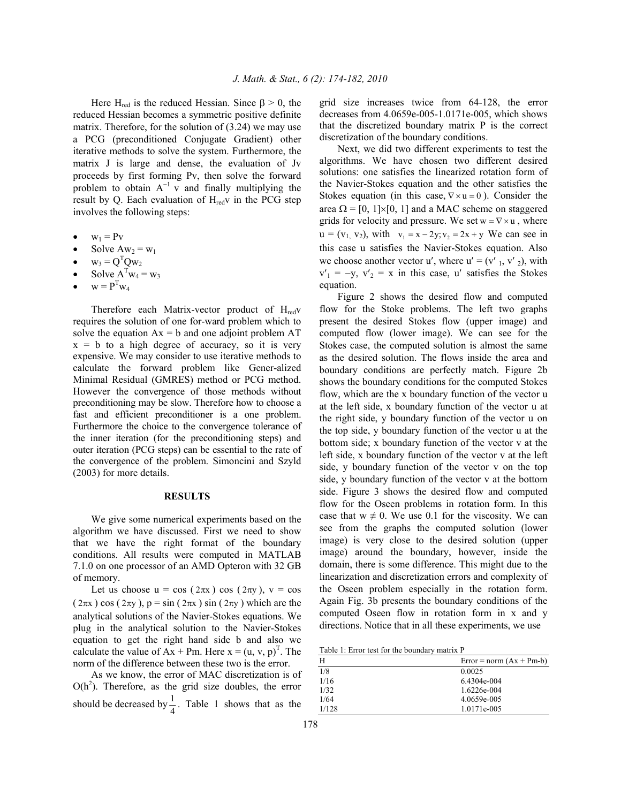Here H<sub>red</sub> is the reduced Hessian. Since  $\beta > 0$ , the reduced Hessian becomes a symmetric positive definite matrix. Therefore, for the solution of (3.24) we may use a PCG (preconditioned Conjugate Gradient) other iterative methods to solve the system. Furthermore, the matrix J is large and dense, the evaluation of Jv proceeds by first forming Pv, then solve the forward problem to obtain  $A^{-1}$  v and finally multiplying the result by Q. Each evaluation of  $H_{red}$  in the PCG step involves the following steps:

- $w_1 = P_v$
- Solve  $Aw_2 = w_1$
- $w_3 = Q^T Q w_2$
- Solve  $A^Tw_4 = w_3$
- $w = P^{T}w_4$

Therefore each Matrix-vector product of  $H_{\text{red}}$ requires the solution of one for-ward problem which to solve the equation  $Ax = b$  and one adjoint problem  $AT$  $x = b$  to a high degree of accuracy, so it is very expensive. We may consider to use iterative methods to calculate the forward problem like Gener-alized Minimal Residual (GMRES) method or PCG method. However the convergence of those methods without preconditioning may be slow. Therefore how to choose a fast and efficient preconditioner is a one problem. Furthermore the choice to the convergence tolerance of the inner iteration (for the preconditioning steps) and outer iteration (PCG steps) can be essential to the rate of the convergence of the problem. Simoncini and Szyld (2003) for more details.

# **RESULTS**

 We give some numerical experiments based on the algorithm we have discussed. First we need to show that we have the right format of the boundary conditions. All results were computed in MATLAB 7.1.0 on one processor of an AMD Opteron with 32 GB of memory.

Let us choose  $u = cos(2\pi x) cos(2\pi y)$ ,  $v = cos$  $(2\pi x)$  cos  $(2\pi y)$ ,  $p = sin(2\pi x) sin(2\pi y)$  which are the analytical solutions of the Navier-Stokes equations. We plug in the analytical solution to the Navier-Stokes equation to get the right hand side b and also we calculate the value of  $Ax + Pm$ . Here  $x = (u, v, p)^T$ . The norm of the difference between these two is the error.

 As we know, the error of MAC discretization is of  $O(h^2)$ . Therefore, as the grid size doubles, the error should be decreased by  $\frac{1}{4}$ . Table 1 shows that as the grid size increases twice from 64-128, the error decreases from 4.0659e-005-1.0171e-005, which shows that the discretized boundary matrix P is the correct discretization of the boundary conditions.

 Next, we did two different experiments to test the algorithms. We have chosen two different desired solutions: one satisfies the linearized rotation form of the Navier-Stokes equation and the other satisfies the Stokes equation (in this case,  $\nabla \times \mathbf{u} = 0$ ). Consider the area  $\Omega = [0, 1] \times [0, 1]$  and a MAC scheme on staggered grids for velocity and pressure. We set  $w = \nabla \times u$ , where  $u = (v_1, v_2)$ , with  $v_1 = x - 2y; v_2 = 2x + y$  We can see in this case u satisfies the Navier-Stokes equation. Also we choose another vector u', where  $u' = (v'_{1}, v'_{2})$ , with  $v'_{1} = -y$ ,  $v'_{2} = x$  in this case, u' satisfies the Stokes equation.

 Figure 2 shows the desired flow and computed flow for the Stoke problems. The left two graphs present the desired Stokes flow (upper image) and computed flow (lower image). We can see for the Stokes case, the computed solution is almost the same as the desired solution. The flows inside the area and boundary conditions are perfectly match. Figure 2b shows the boundary conditions for the computed Stokes flow, which are the x boundary function of the vector u at the left side, x boundary function of the vector u at the right side, y boundary function of the vector u on the top side, y boundary function of the vector u at the bottom side; x boundary function of the vector v at the left side, x boundary function of the vector v at the left side, y boundary function of the vector v on the top side, y boundary function of the vector v at the bottom side. Figure 3 shows the desired flow and computed flow for the Oseen problems in rotation form. In this case that  $w \neq 0$ . We use 0.1 for the viscosity. We can see from the graphs the computed solution (lower image) is very close to the desired solution (upper image) around the boundary, however, inside the domain, there is some difference. This might due to the linearization and discretization errors and complexity of the Oseen problem especially in the rotation form. Again Fig. 3b presents the boundary conditions of the computed Oseen flow in rotation form in x and y directions. Notice that in all these experiments, we use

Table 1: Error test for the boundary matrix P

| H     | $Error = norm (Ax + Pm-b)$ |
|-------|----------------------------|
| 1/8   | 0.0025                     |
| 1/16  | $6.4304e - 004$            |
| 1/32  | 1.6226e-004                |
| 1/64  | 4.0659e-005                |
| 1/128 | 1.0171e-005                |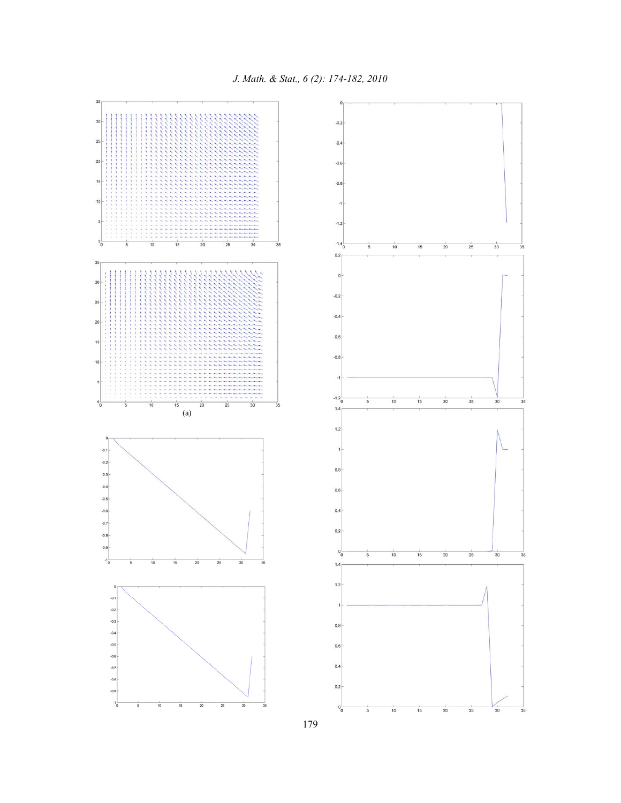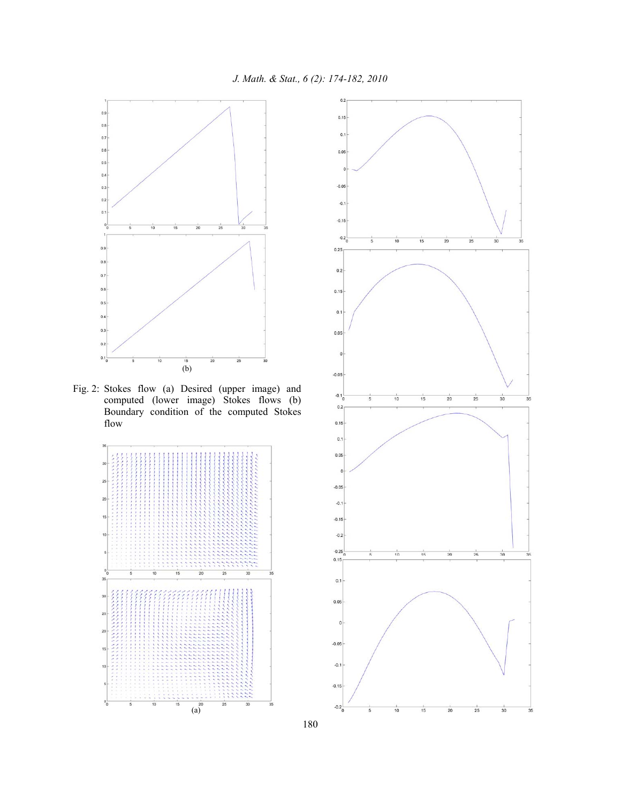

Fig. 2: Stokes flow (a) Desired (upper image) and computed (lower image) Stokes flows (b) Boundary condition of the computed Stokes flow



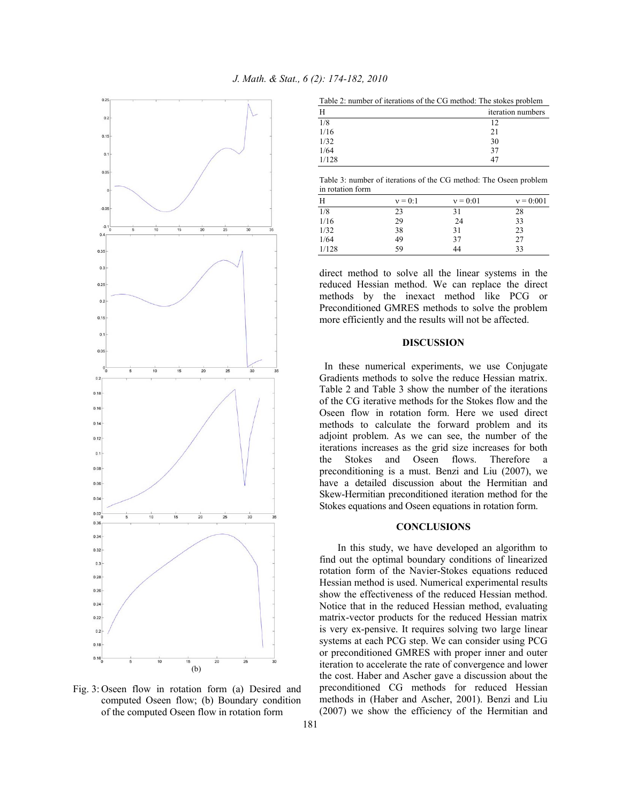

*J. Math. & Stat., 6 (2): 174-182, 2010* 

| Table 2: number of iterations of the CG method: The stokes problem |                   |  |  |
|--------------------------------------------------------------------|-------------------|--|--|
| H                                                                  | iteration numbers |  |  |
| 1/8                                                                | 12                |  |  |
| 1/16                                                               | 21                |  |  |
| 1/32                                                               | 30                |  |  |
| 1/64                                                               | 37                |  |  |
| 1/128                                                              |                   |  |  |

Table 3: number of iterations of the CG method: The Oseen problem in rotation form

| Н     | $v = 0:1$ | $v = 0:01$ | $v = 0:001$ |
|-------|-----------|------------|-------------|
| 1/8   | 23        | 31         | 28          |
| 1/16  | 29        | 24         | 33          |
| 1/32  | 38        | 31         | 23          |
| 1/64  | 49        | 37         | 27          |
| 1/128 | 59        | 44         | 33          |

direct method to solve all the linear systems in the reduced Hessian method. We can replace the direct methods by the inexact method like PCG or Preconditioned GMRES methods to solve the problem more efficiently and the results will not be affected.

## **DISCUSSION**

 In these numerical experiments, we use Conjugate Gradients methods to solve the reduce Hessian matrix. Table 2 and Table 3 show the number of the iterations of the CG iterative methods for the Stokes flow and the Oseen flow in rotation form. Here we used direct methods to calculate the forward problem and its adjoint problem. As we can see, the number of the iterations increases as the grid size increases for both the Stokes and Oseen flows. Therefore a preconditioning is a must. Benzi and Liu (2007), we have a detailed discussion about the Hermitian and Skew-Hermitian preconditioned iteration method for the Stokes equations and Oseen equations in rotation form.

## **CONCLUSIONS**

 In this study, we have developed an algorithm to find out the optimal boundary conditions of linearized rotation form of the Navier-Stokes equations reduced Hessian method is used. Numerical experimental results show the effectiveness of the reduced Hessian method. Notice that in the reduced Hessian method, evaluating matrix-vector products for the reduced Hessian matrix is very ex-pensive. It requires solving two large linear systems at each PCG step. We can consider using PCG or preconditioned GMRES with proper inner and outer iteration to accelerate the rate of convergence and lower the cost. Haber and Ascher gave a discussion about the preconditioned CG methods for reduced Hessian methods in (Haber and Ascher, 2001). Benzi and Liu (2007) we show the efficiency of the Hermitian and

Fig. 3: Oseen flow in rotation form (a) Desired and computed Oseen flow; (b) Boundary condition of the computed Oseen flow in rotation form